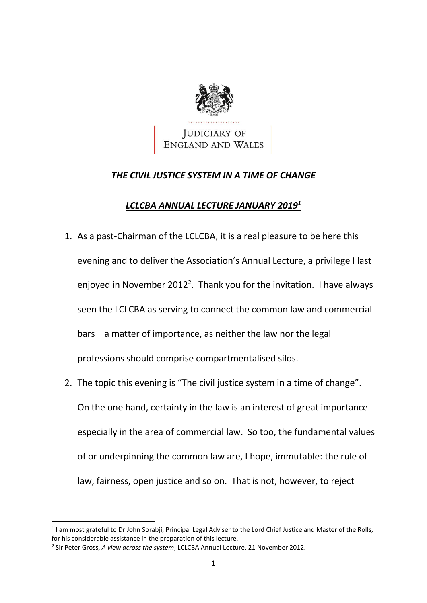

# *THE CIVIL JUSTICE SYSTEM IN A TIME OF CHANGE*

# *LCLCBA ANNUAL LECTURE JANUARY 2019<sup>1</sup>*

- 1. As a past-Chairman of the LCLCBA, it is a real pleasure to be here this evening and to deliver the Association's Annual Lecture, a privilege I last enjoyed in November 2012<sup>2</sup>. Thank you for the invitation. I have always seen the LCLCBA as serving to connect the common law and commercial bars – a matter of importance, as neither the law nor the legal professions should comprise compartmentalised silos.
- 2. The topic this evening is "The civil justice system in a time of change". On the one hand, certainty in the law is an interest of great importance especially in the area of commercial law. So too, the fundamental values of or underpinning the common law are, I hope, immutable: the rule of law, fairness, open justice and so on. That is not, however, to reject

<sup>&</sup>lt;sup>1</sup> I am most grateful to Dr John Sorabji, Principal Legal Adviser to the Lord Chief Justice and Master of the Rolls, for his considerable assistance in the preparation of this lecture.

<sup>2</sup> Sir Peter Gross, *A view across the system*, LCLCBA Annual Lecture, 21 November 2012.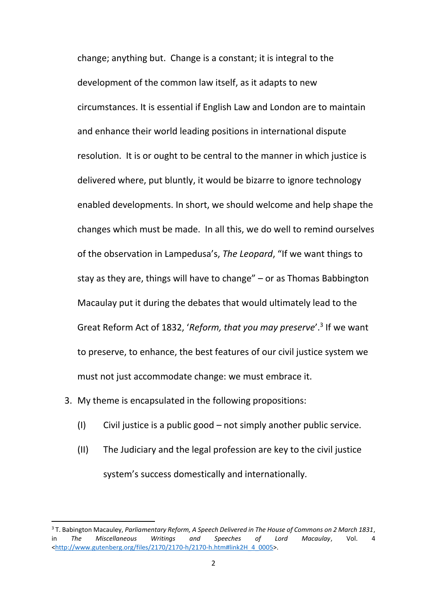change; anything but. Change is a constant; it is integral to the development of the common law itself, as it adapts to new circumstances. It is essential if English Law and London are to maintain and enhance their world leading positions in international dispute resolution. It is or ought to be central to the manner in which justice is delivered where, put bluntly, it would be bizarre to ignore technology enabled developments. In short, we should welcome and help shape the changes which must be made. In all this, we do well to remind ourselves of the observation in Lampedusa's, *The Leopard*, "If we want things to stay as they are, things will have to change" – or as Thomas Babbington Macaulay put it during the debates that would ultimately lead to the Great Reform Act of 1832, 'Reform, that you may preserve'.<sup>3</sup> If we want to preserve, to enhance, the best features of our civil justice system we must not just accommodate change: we must embrace it.

3. My theme is encapsulated in the following propositions:

- (I) Civil justice is a public good not simply another public service.
- (II) The Judiciary and the legal profession are key to the civil justice system's success domestically and internationally.

<sup>3</sup> T. Babington Macauley, *Parliamentary Reform, A Speech Delivered in The House of Commons on 2 March 1831*, in *The Miscellaneous Writings and Speeches of Lord Macaulay*, Vol. 4 [<http://www.gutenberg.org/files/2170/2170-h/2170-h.htm#link2H\\_4\\_0005>](http://www.gutenberg.org/files/2170/2170-h/2170-h.htm#link2H_4_0005).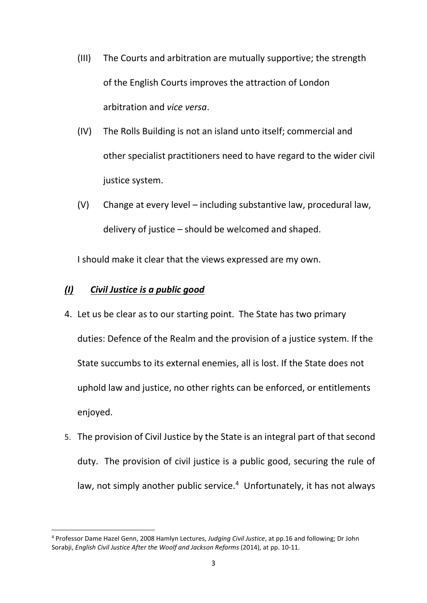- (III) The Courts and arbitration are mutually supportive; the strength of the English Courts improves the attraction of London arbitration and *vice versa*.
- (IV) The Rolls Building is not an island unto itself; commercial and other specialist practitioners need to have regard to the wider civil justice system.
- (V) Change at every level including substantive law, procedural law, delivery of justice – should be welcomed and shaped.

I should make it clear that the views expressed are my own.

## *(I) Civil Justice is a public good*

- 4. Let us be clear as to our starting point. The State has two primary duties: Defence of the Realm and the provision of a justice system. If the State succumbs to its external enemies, all is lost. If the State does not uphold law and justice, no other rights can be enforced, or entitlements enjoyed.
- 5. The provision of Civil Justice by the State is an integral part of that second duty. The provision of civil justice is a public good, securing the rule of law, not simply another public service.<sup>4</sup> Unfortunately, it has not always

 $\overline{a}$ <sup>4</sup> Professor Dame Hazel Genn, 2008 Hamlyn Lectures, *Judging Civil Justice*, at pp.16 and following; Dr John Sorabji, *English Civil Justice After the Woolf and Jackson Reforms* (2014), at pp. 10-11.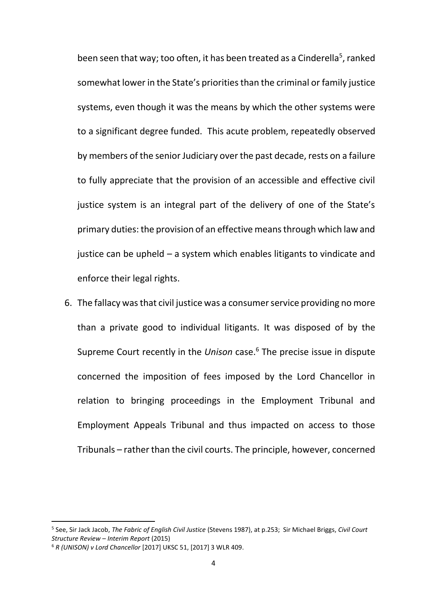been seen that way; too often, it has been treated as a Cinderella<sup>5</sup>, ranked somewhat lower in the State's priorities than the criminal or family justice systems, even though it was the means by which the other systems were to a significant degree funded. This acute problem, repeatedly observed by members of the senior Judiciary over the past decade, rests on a failure to fully appreciate that the provision of an accessible and effective civil justice system is an integral part of the delivery of one of the State's primary duties: the provision of an effective means through which law and justice can be upheld – a system which enables litigants to vindicate and enforce their legal rights.

6. The fallacy was that civil justice was a consumer service providing no more than a private good to individual litigants. It was disposed of by the Supreme Court recently in the *Unison* case.<sup>6</sup> The precise issue in dispute concerned the imposition of fees imposed by the Lord Chancellor in relation to bringing proceedings in the Employment Tribunal and Employment Appeals Tribunal and thus impacted on access to those Tribunals – rather than the civil courts. The principle, however, concerned

<sup>5</sup> See, Sir Jack Jacob, *The Fabric of English Civil Justice* (Stevens 1987), at p.253; Sir Michael Briggs, *Civil Court Structure Review – Interim Report* (2015)

<sup>6</sup> *R (UNISON) v Lord Chancellor* [2017] UKSC 51, [2017] 3 WLR 409.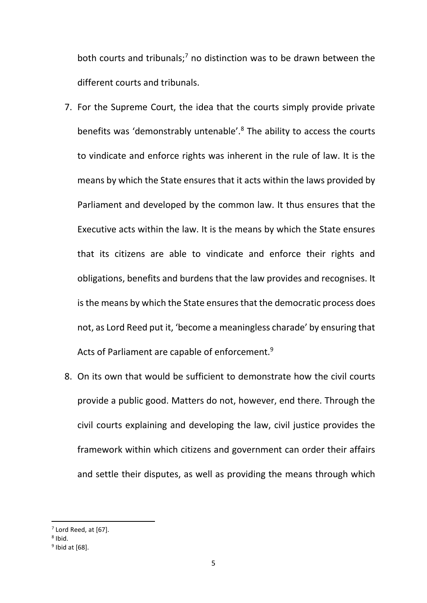both courts and tribunals;<sup>7</sup> no distinction was to be drawn between the different courts and tribunals.

- 7. For the Supreme Court, the idea that the courts simply provide private benefits was 'demonstrably untenable'.<sup>8</sup> The ability to access the courts to vindicate and enforce rights was inherent in the rule of law. It is the means by which the State ensures that it acts within the laws provided by Parliament and developed by the common law. It thus ensures that the Executive acts within the law. It is the means by which the State ensures that its citizens are able to vindicate and enforce their rights and obligations, benefits and burdens that the law provides and recognises. It is the means by which the State ensures that the democratic process does not, as Lord Reed put it, 'become a meaningless charade' by ensuring that Acts of Parliament are capable of enforcement.<sup>9</sup>
- 8. On its own that would be sufficient to demonstrate how the civil courts provide a public good. Matters do not, however, end there. Through the civil courts explaining and developing the law, civil justice provides the framework within which citizens and government can order their affairs and settle their disputes, as well as providing the means through which

 $<sup>7</sup>$  Lord Reed, at [67].</sup>

<sup>8</sup> Ibid.

<sup>9</sup> Ibid at [68].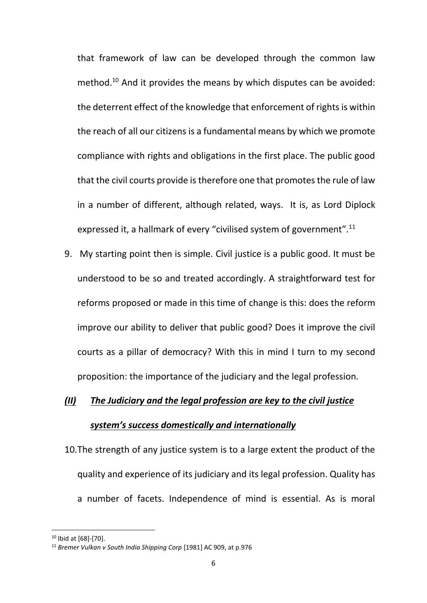that framework of law can be developed through the common law method.<sup>10</sup> And it provides the means by which disputes can be avoided: the deterrent effect of the knowledge that enforcement of rights is within the reach of all our citizens is a fundamental means by which we promote compliance with rights and obligations in the first place. The public good that the civil courts provide is therefore one that promotes the rule of law in a number of different, although related, ways. It is, as Lord Diplock expressed it, a hallmark of every "civilised system of government".<sup>11</sup>

9. My starting point then is simple. Civil justice is a public good. It must be understood to be so and treated accordingly. A straightforward test for reforms proposed or made in this time of change is this: does the reform improve our ability to deliver that public good? Does it improve the civil courts as a pillar of democracy? With this in mind I turn to my second proposition: the importance of the judiciary and the legal profession.

# *(II) The Judiciary and the legal profession are key to the civil justice system's success domestically and internationally*

10.The strength of any justice system is to a large extent the product of the quality and experience of its judiciary and its legal profession. Quality has a number of facets. Independence of mind is essential. As is moral

 $\overline{a}$ 

<sup>10</sup> Ibid at [68]-[70].

<sup>11</sup> *Bremer Vulkan v South India Shipping Corp* [1981] AC 909, at p.976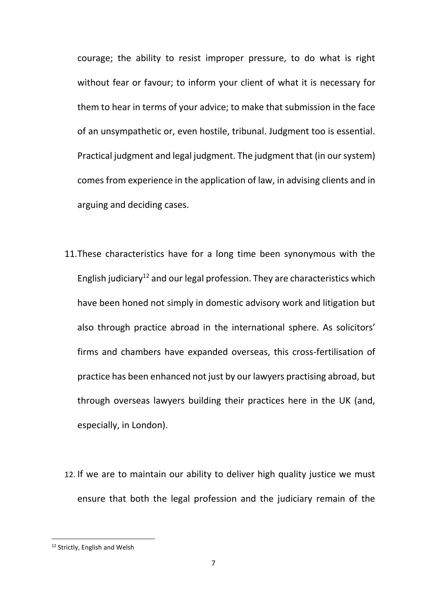courage; the ability to resist improper pressure, to do what is right without fear or favour; to inform your client of what it is necessary for them to hear in terms of your advice; to make that submission in the face of an unsympathetic or, even hostile, tribunal. Judgment too is essential. Practical judgment and legal judgment. The judgment that (in our system) comes from experience in the application of law, in advising clients and in arguing and deciding cases.

- 11.These characteristics have for a long time been synonymous with the English judiciary<sup>12</sup> and our legal profession. They are characteristics which have been honed not simply in domestic advisory work and litigation but also through practice abroad in the international sphere. As solicitors' firms and chambers have expanded overseas, this cross-fertilisation of practice has been enhanced not just by our lawyers practising abroad, but through overseas lawyers building their practices here in the UK (and, especially, in London).
- 12. If we are to maintain our ability to deliver high quality justice we must ensure that both the legal profession and the judiciary remain of the

<sup>&</sup>lt;sup>12</sup> Strictly, English and Welsh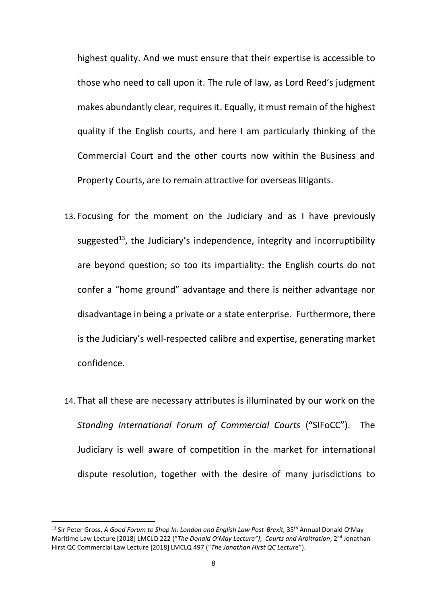highest quality. And we must ensure that their expertise is accessible to those who need to call upon it. The rule of law, as Lord Reed's judgment makes abundantly clear, requires it. Equally, it must remain of the highest quality if the English courts, and here I am particularly thinking of the Commercial Court and the other courts now within the Business and Property Courts, are to remain attractive for overseas litigants.

- 13. Focusing for the moment on the Judiciary and as I have previously suggested<sup>13</sup>, the Judiciary's independence, integrity and incorruptibility are beyond question; so too its impartiality: the English courts do not confer a "home ground" advantage and there is neither advantage nor disadvantage in being a private or a state enterprise. Furthermore, there is the Judiciary's well-respected calibre and expertise, generating market confidence.
- 14. That all these are necessary attributes is illuminated by our work on the *Standing International Forum of Commercial Courts* ("SIFoCC"). The Judiciary is well aware of competition in the market for international dispute resolution, together with the desire of many jurisdictions to

<sup>&</sup>lt;sup>13</sup> Sir Peter Gross, *A Good Forum to Shop In: London and English Law Post-Brexit, 35<sup>th</sup> Annual Donald O'May* Maritime Law Lecture [2018] LMCLQ 222 ("*The Donald O'May Lecture")*; *Courts and Arbitration*, 2nd Jonathan Hirst QC Commercial Law Lecture [2018] LMCLQ 497 ("*The Jonathan Hirst QC Lecture*").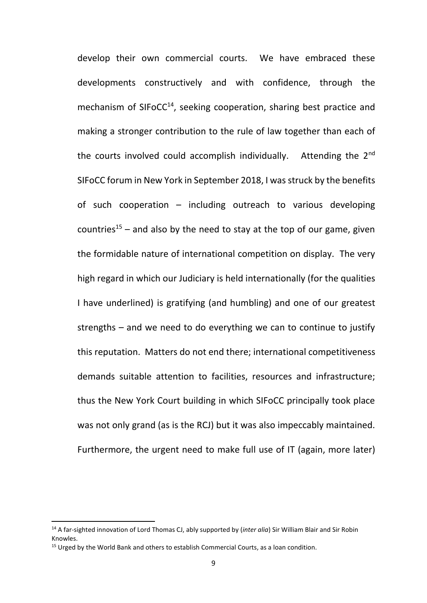develop their own commercial courts. We have embraced these developments constructively and with confidence, through the mechanism of SIFoCC<sup>14</sup>, seeking cooperation, sharing best practice and making a stronger contribution to the rule of law together than each of the courts involved could accomplish individually. Attending the  $2<sup>nd</sup>$ SIFoCC forum in New York in September 2018, I was struck by the benefits of such cooperation – including outreach to various developing countries<sup>15</sup> – and also by the need to stay at the top of our game, given the formidable nature of international competition on display. The very high regard in which our Judiciary is held internationally (for the qualities I have underlined) is gratifying (and humbling) and one of our greatest strengths – and we need to do everything we can to continue to justify this reputation. Matters do not end there; international competitiveness demands suitable attention to facilities, resources and infrastructure; thus the New York Court building in which SIFoCC principally took place was not only grand (as is the RCJ) but it was also impeccably maintained. Furthermore, the urgent need to make full use of IT (again, more later)

<sup>14</sup> A far-sighted innovation of Lord Thomas CJ, ably supported by (*inter alia*) Sir William Blair and Sir Robin Knowles.

 $15$  Urged by the World Bank and others to establish Commercial Courts, as a loan condition.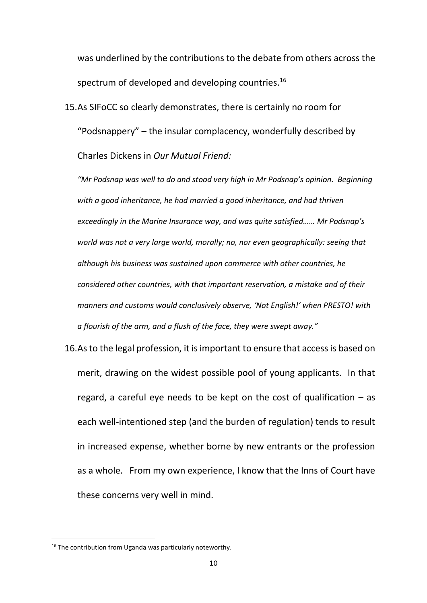was underlined by the contributions to the debate from others across the spectrum of developed and developing countries.<sup>16</sup>

15.As SIFoCC so clearly demonstrates, there is certainly no room for "Podsnappery" – the insular complacency, wonderfully described by Charles Dickens in *Our Mutual Friend:*

*"Mr Podsnap was well to do and stood very high in Mr Podsnap's opinion. Beginning with a good inheritance, he had married a good inheritance, and had thriven exceedingly in the Marine Insurance way, and was quite satisfied…… Mr Podsnap's world was not a very large world, morally; no, nor even geographically: seeing that although his business was sustained upon commerce with other countries, he considered other countries, with that important reservation, a mistake and of their manners and customs would conclusively observe, 'Not English!' when PRESTO! with a flourish of the arm, and a flush of the face, they were swept away."*

16.As to the legal profession, it is important to ensure that access is based on merit, drawing on the widest possible pool of young applicants. In that regard, a careful eye needs to be kept on the cost of qualification  $-$  as each well-intentioned step (and the burden of regulation) tends to result in increased expense, whether borne by new entrants or the profession as a whole. From my own experience, I know that the Inns of Court have these concerns very well in mind.

<sup>&</sup>lt;sup>16</sup> The contribution from Uganda was particularly noteworthy.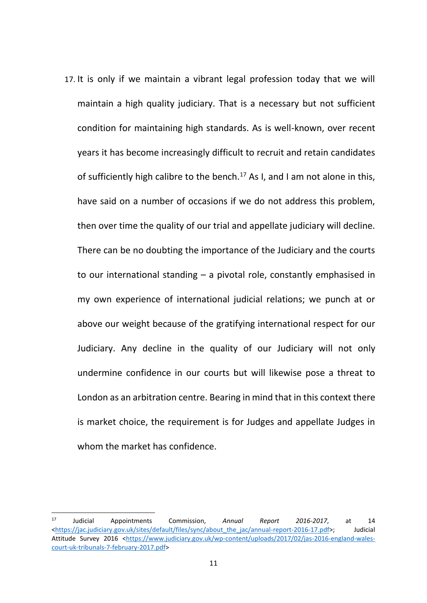17. It is only if we maintain a vibrant legal profession today that we will maintain a high quality judiciary. That is a necessary but not sufficient condition for maintaining high standards. As is well-known, over recent years it has become increasingly difficult to recruit and retain candidates of sufficiently high calibre to the bench.<sup>17</sup> As I, and I am not alone in this, have said on a number of occasions if we do not address this problem, then over time the quality of our trial and appellate judiciary will decline. There can be no doubting the importance of the Judiciary and the courts to our international standing – a pivotal role, constantly emphasised in my own experience of international judicial relations; we punch at or above our weight because of the gratifying international respect for our Judiciary. Any decline in the quality of our Judiciary will not only undermine confidence in our courts but will likewise pose a threat to London as an arbitration centre. Bearing in mind that in this context there is market choice, the requirement is for Judges and appellate Judges in whom the market has confidence.

1

<sup>17</sup> Judicial Appointments Commission, *Annual Report 2016-2017*, at 14 [<https://jac.judiciary.gov.uk/sites/default/files/sync/about\\_the\\_jac/annual-report-2016-17.pdf>](https://jac.judiciary.gov.uk/sites/default/files/sync/about_the_jac/annual-report-2016-17.pdf); Judicial Attitude Survey 2016 [<https://www.judiciary.gov.uk/wp-content/uploads/2017/02/jas-2016-england-wales](https://www.judiciary.gov.uk/wp-content/uploads/2017/02/jas-2016-england-wales-court-uk-tribunals-7-february-2017.pdf)[court-uk-tribunals-7-february-2017.pdf>](https://www.judiciary.gov.uk/wp-content/uploads/2017/02/jas-2016-england-wales-court-uk-tribunals-7-february-2017.pdf)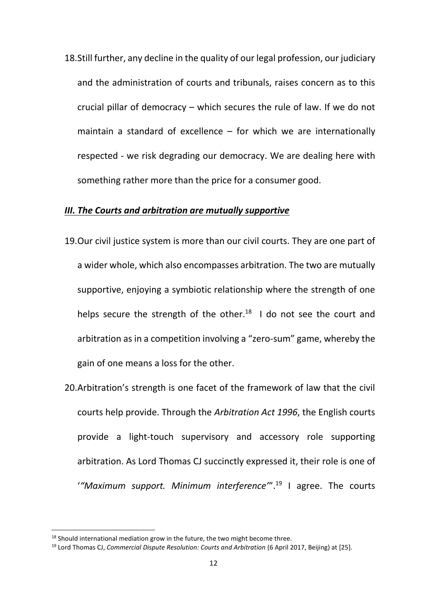18.Still further, any decline in the quality of our legal profession, our judiciary and the administration of courts and tribunals, raises concern as to this crucial pillar of democracy – which secures the rule of law. If we do not maintain a standard of excellence – for which we are internationally respected - we risk degrading our democracy. We are dealing here with something rather more than the price for a consumer good.

#### *III. The Courts and arbitration are mutually supportive*

- 19.Our civil justice system is more than our civil courts. They are one part of a wider whole, which also encompasses arbitration. The two are mutually supportive, enjoying a symbiotic relationship where the strength of one helps secure the strength of the other.<sup>18</sup> I do not see the court and arbitration as in a competition involving a "zero-sum" game, whereby the gain of one means a loss for the other.
- 20.Arbitration's strength is one facet of the framework of law that the civil courts help provide. Through the *Arbitration Act 1996*, the English courts provide a light-touch supervisory and accessory role supporting arbitration. As Lord Thomas CJ succinctly expressed it, their role is one of '*"Maximum support. Minimum interference'*".<sup>19</sup> I agree. The courts

 $\overline{a}$ 

 $18$  Should international mediation grow in the future, the two might become three.

<sup>19</sup> Lord Thomas CJ, *Commercial Dispute Resolution: Courts and Arbitration* (6 April 2017, Beijing) at [25].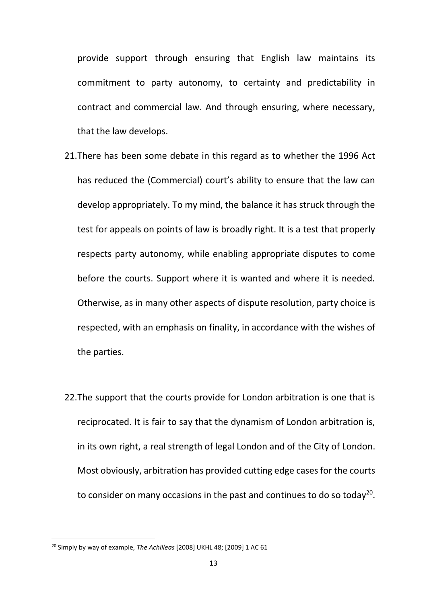provide support through ensuring that English law maintains its commitment to party autonomy, to certainty and predictability in contract and commercial law. And through ensuring, where necessary, that the law develops.

- 21.There has been some debate in this regard as to whether the 1996 Act has reduced the (Commercial) court's ability to ensure that the law can develop appropriately. To my mind, the balance it has struck through the test for appeals on points of law is broadly right. It is a test that properly respects party autonomy, while enabling appropriate disputes to come before the courts. Support where it is wanted and where it is needed. Otherwise, as in many other aspects of dispute resolution, party choice is respected, with an emphasis on finality, in accordance with the wishes of the parties.
- 22.The support that the courts provide for London arbitration is one that is reciprocated. It is fair to say that the dynamism of London arbitration is, in its own right, a real strength of legal London and of the City of London. Most obviously, arbitration has provided cutting edge cases for the courts to consider on many occasions in the past and continues to do so today<sup>20</sup>.

<sup>&</sup>lt;sup>20</sup> Simply by way of example, *The Achilleas* [2008] UKHL 48; [2009] 1 AC 61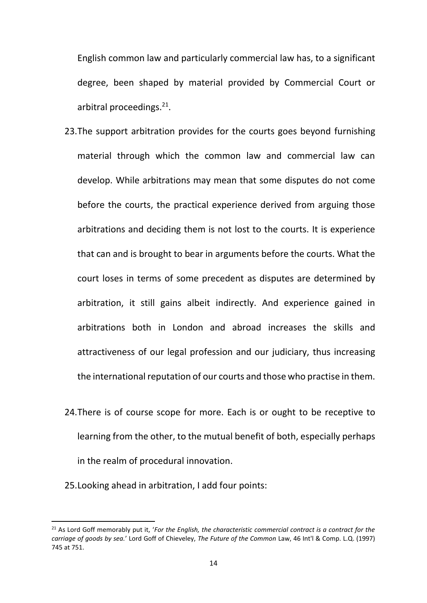English common law and particularly commercial law has, to a significant degree, been shaped by material provided by Commercial Court or arbitral proceedings.<sup>21</sup>.

- 23.The support arbitration provides for the courts goes beyond furnishing material through which the common law and commercial law can develop. While arbitrations may mean that some disputes do not come before the courts, the practical experience derived from arguing those arbitrations and deciding them is not lost to the courts. It is experience that can and is brought to bear in arguments before the courts. What the court loses in terms of some precedent as disputes are determined by arbitration, it still gains albeit indirectly. And experience gained in arbitrations both in London and abroad increases the skills and attractiveness of our legal profession and our judiciary, thus increasing the international reputation of our courts and those who practise in them.
- 24.There is of course scope for more. Each is or ought to be receptive to learning from the other, to the mutual benefit of both, especially perhaps in the realm of procedural innovation.
- 25.Looking ahead in arbitration, I add four points:

<sup>&</sup>lt;sup>21</sup> As Lord Goff memorably put it, '*For the English, the characteristic commercial contract is a contract for the carriage of goods by sea.*' Lord Goff of Chieveley, *The Future of the Common* Law, 46 Int'l & Comp. L.Q. (1997) 745 at 751.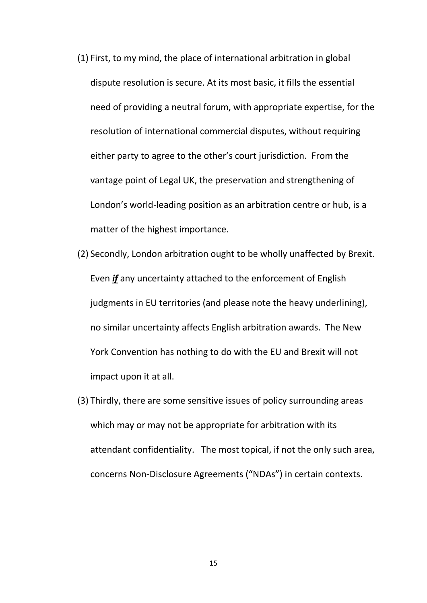- (1) First, to my mind, the place of international arbitration in global dispute resolution is secure. At its most basic, it fills the essential need of providing a neutral forum, with appropriate expertise, for the resolution of international commercial disputes, without requiring either party to agree to the other's court jurisdiction. From the vantage point of Legal UK, the preservation and strengthening of London's world-leading position as an arbitration centre or hub, is a matter of the highest importance.
- (2) Secondly, London arbitration ought to be wholly unaffected by Brexit. Even *if* any uncertainty attached to the enforcement of English judgments in EU territories (and please note the heavy underlining), no similar uncertainty affects English arbitration awards. The New York Convention has nothing to do with the EU and Brexit will not impact upon it at all.
- (3) Thirdly, there are some sensitive issues of policy surrounding areas which may or may not be appropriate for arbitration with its attendant confidentiality. The most topical, if not the only such area, concerns Non-Disclosure Agreements ("NDAs") in certain contexts.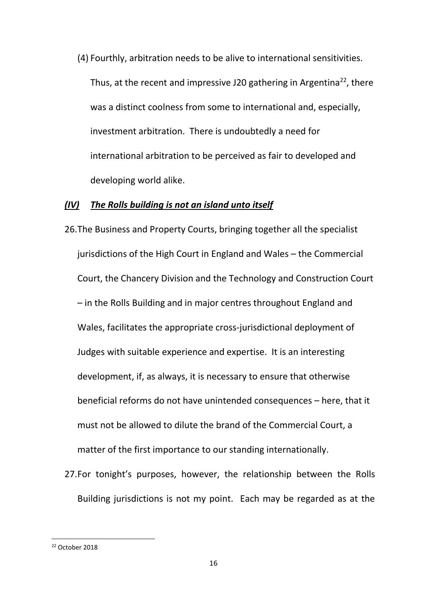(4) Fourthly, arbitration needs to be alive to international sensitivities. Thus, at the recent and impressive J20 gathering in Argentina<sup>22</sup>, there was a distinct coolness from some to international and, especially, investment arbitration. There is undoubtedly a need for international arbitration to be perceived as fair to developed and developing world alike.

## *(IV) The Rolls building is not an island unto itself*

- 26.The Business and Property Courts, bringing together all the specialist jurisdictions of the High Court in England and Wales – the Commercial Court, the Chancery Division and the Technology and Construction Court – in the Rolls Building and in major centres throughout England and Wales, facilitates the appropriate cross-jurisdictional deployment of Judges with suitable experience and expertise. It is an interesting development, if, as always, it is necessary to ensure that otherwise beneficial reforms do not have unintended consequences – here, that it must not be allowed to dilute the brand of the Commercial Court, a matter of the first importance to our standing internationally.
- 27.For tonight's purposes, however, the relationship between the Rolls Building jurisdictions is not my point. Each may be regarded as at the

<sup>22</sup> October 2018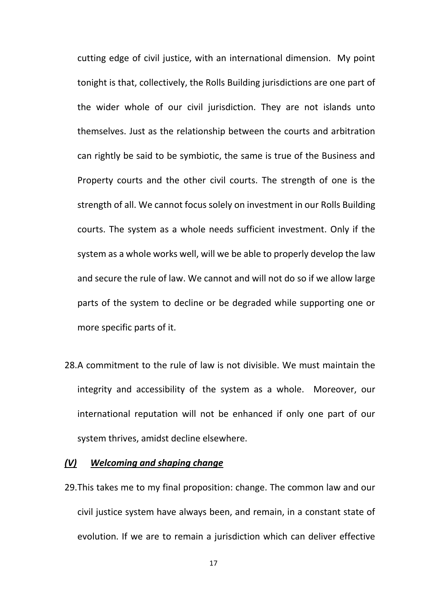cutting edge of civil justice, with an international dimension. My point tonight is that, collectively, the Rolls Building jurisdictions are one part of the wider whole of our civil jurisdiction. They are not islands unto themselves. Just as the relationship between the courts and arbitration can rightly be said to be symbiotic, the same is true of the Business and Property courts and the other civil courts. The strength of one is the strength of all. We cannot focus solely on investment in our Rolls Building courts. The system as a whole needs sufficient investment. Only if the system as a whole works well, will we be able to properly develop the law and secure the rule of law. We cannot and will not do so if we allow large parts of the system to decline or be degraded while supporting one or more specific parts of it.

28.A commitment to the rule of law is not divisible. We must maintain the integrity and accessibility of the system as a whole. Moreover, our international reputation will not be enhanced if only one part of our system thrives, amidst decline elsewhere.

### *(V) Welcoming and shaping change*

29.This takes me to my final proposition: change. The common law and our civil justice system have always been, and remain, in a constant state of evolution. If we are to remain a jurisdiction which can deliver effective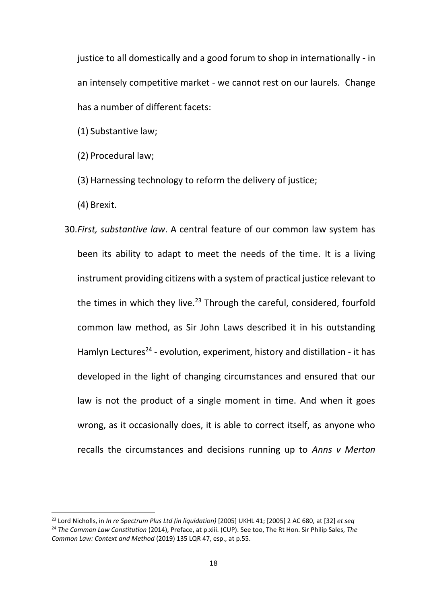justice to all domestically and a good forum to shop in internationally - in an intensely competitive market - we cannot rest on our laurels. Change has a number of different facets:

(1) Substantive law;

(2) Procedural law;

(3) Harnessing technology to reform the delivery of justice;

(4) Brexit.

1

30.*First, substantive law*. A central feature of our common law system has been its ability to adapt to meet the needs of the time. It is a living instrument providing citizens with a system of practical justice relevant to the times in which they live.<sup>23</sup> Through the careful, considered, fourfold common law method, as Sir John Laws described it in his outstanding Hamlyn Lectures<sup>24</sup> - evolution, experiment, history and distillation - it has developed in the light of changing circumstances and ensured that our law is not the product of a single moment in time. And when it goes wrong, as it occasionally does, it is able to correct itself, as anyone who recalls the circumstances and decisions running up to *Anns v Merton* 

<sup>23</sup> Lord Nicholls, in *In re Spectrum Plus Ltd (in liquidation)* [2005] UKHL 41; [2005] 2 AC 680, at [32] *et seq* <sup>24</sup> *The Common Law Constitution* (2014), Preface, at p.xiii. (CUP). See too, The Rt Hon. Sir Philip Sales, *The Common Law: Context and Method* (2019) 135 LQR 47, esp., at p.55.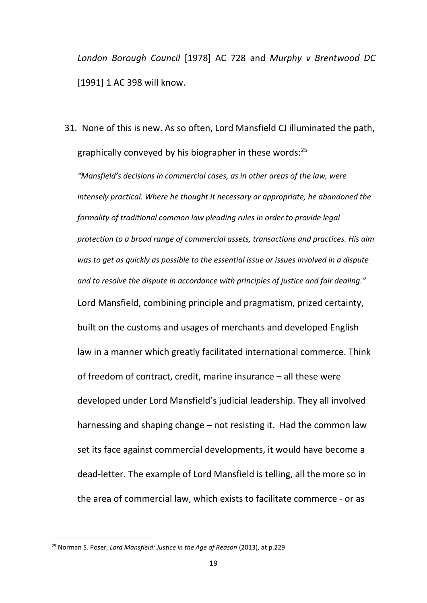*London Borough Council* [1978] AC 728 and *Murphy v Brentwood DC* [1991] 1 AC 398 will know.

31. None of this is new. As so often, Lord Mansfield CJ illuminated the path, graphically conveyed by his biographer in these words: $^{25}$ 

*"Mansfield's decisions in commercial cases, as in other areas of the law, were intensely practical. Where he thought it necessary or appropriate, he abandoned the formality of traditional common law pleading rules in order to provide legal protection to a broad range of commercial assets, transactions and practices. His aim was to get as quickly as possible to the essential issue or issues involved in a dispute and to resolve the dispute in accordance with principles of justice and fair dealing."* Lord Mansfield, combining principle and pragmatism, prized certainty, built on the customs and usages of merchants and developed English law in a manner which greatly facilitated international commerce. Think of freedom of contract, credit, marine insurance – all these were developed under Lord Mansfield's judicial leadership. They all involved harnessing and shaping change – not resisting it. Had the common law set its face against commercial developments, it would have become a dead-letter. The example of Lord Mansfield is telling, all the more so in the area of commercial law, which exists to facilitate commerce - or as

<sup>25</sup> Norman S. Poser, *Lord Mansfield: Justice in the Age of Reason* (2013), at p.229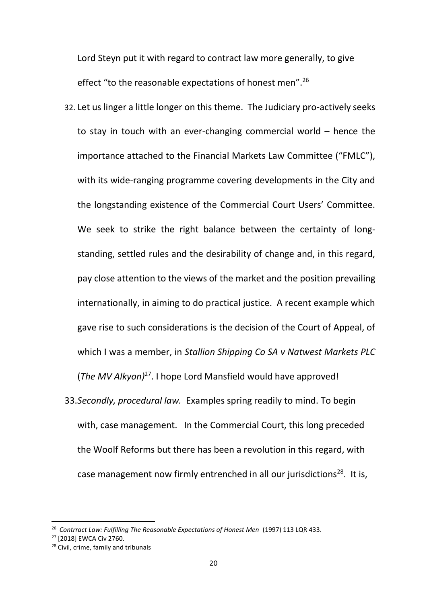Lord Steyn put it with regard to contract law more generally, to give effect "to the reasonable expectations of honest men".<sup>26</sup>

- 32. Let us linger a little longer on this theme. The Judiciary pro-actively seeks to stay in touch with an ever-changing commercial world – hence the importance attached to the Financial Markets Law Committee ("FMLC"), with its wide-ranging programme covering developments in the City and the longstanding existence of the Commercial Court Users' Committee. We seek to strike the right balance between the certainty of longstanding, settled rules and the desirability of change and, in this regard, pay close attention to the views of the market and the position prevailing internationally, in aiming to do practical justice. A recent example which gave rise to such considerations is the decision of the Court of Appeal, of which I was a member, in *Stallion Shipping Co SA v Natwest Markets PLC* (*The MV Alkyon)*<sup>27</sup>. I hope Lord Mansfield would have approved!
- 33.*Secondly, procedural law.* Examples spring readily to mind. To begin with, case management. In the Commercial Court, this long preceded the Woolf Reforms but there has been a revolution in this regard, with case management now firmly entrenched in all our jurisdictions<sup>28</sup>. It is,

<sup>26</sup> *Contrract Law: Fulfilling The Reasonable Expectations of Honest Men* (1997) 113 LQR 433.

<sup>27</sup> [2018] EWCA Civ 2760.

<sup>&</sup>lt;sup>28</sup> Civil, crime, family and tribunals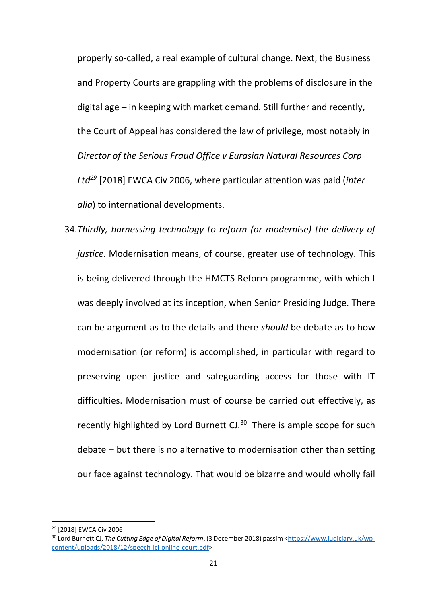properly so-called, a real example of cultural change. Next, the Business and Property Courts are grappling with the problems of disclosure in the digital age – in keeping with market demand. Still further and recently, the Court of Appeal has considered the law of privilege, most notably in *Director of the Serious Fraud Office v Eurasian Natural Resources Corp Ltd<sup>29</sup>* [2018] EWCA Civ 2006, where particular attention was paid (*inter alia*) to international developments.

34.*Thirdly, harnessing technology to reform (or modernise) the delivery of justice.* Modernisation means, of course, greater use of technology. This is being delivered through the HMCTS Reform programme, with which I was deeply involved at its inception, when Senior Presiding Judge. There can be argument as to the details and there *should* be debate as to how modernisation (or reform) is accomplished, in particular with regard to preserving open justice and safeguarding access for those with IT difficulties. Modernisation must of course be carried out effectively, as recently highlighted by Lord Burnett CJ.<sup>30</sup> There is ample scope for such debate – but there is no alternative to modernisation other than setting our face against technology. That would be bizarre and would wholly fail

<sup>29</sup> [2018] EWCA Civ 2006

<sup>30</sup> Lord Burnett CJ, *The Cutting Edge of Digital Reform*, (3 December 2018) passim [<https://www.judiciary.uk/wp](https://www.judiciary.uk/wp-content/uploads/2018/12/speech-lcj-online-court.pdf)[content/uploads/2018/12/speech-lcj-online-court.pdf>](https://www.judiciary.uk/wp-content/uploads/2018/12/speech-lcj-online-court.pdf)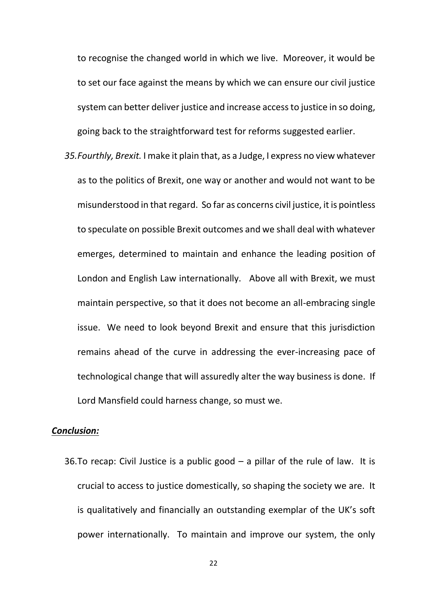to recognise the changed world in which we live. Moreover, it would be to set our face against the means by which we can ensure our civil justice system can better deliver justice and increase access to justice in so doing, going back to the straightforward test for reforms suggested earlier.

*35.Fourthly, Brexit.* I make it plain that, as a Judge, I express no view whatever as to the politics of Brexit, one way or another and would not want to be misunderstood in that regard. So far as concerns civil justice, it is pointless to speculate on possible Brexit outcomes and we shall deal with whatever emerges, determined to maintain and enhance the leading position of London and English Law internationally. Above all with Brexit, we must maintain perspective, so that it does not become an all-embracing single issue. We need to look beyond Brexit and ensure that this jurisdiction remains ahead of the curve in addressing the ever-increasing pace of technological change that will assuredly alter the way business is done. If Lord Mansfield could harness change, so must we.

## *Conclusion:*

36. To recap: Civil Justice is a public good  $-$  a pillar of the rule of law. It is crucial to access to justice domestically, so shaping the society we are. It is qualitatively and financially an outstanding exemplar of the UK's soft power internationally. To maintain and improve our system, the only